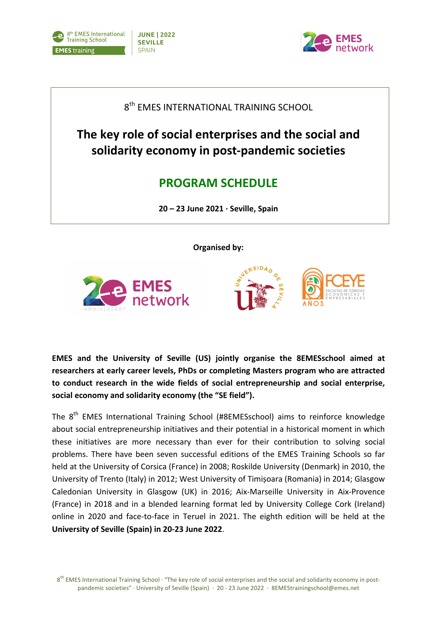



 $8<sup>th</sup>$  EMES INTERNATIONAL TRAINING SCHOOL

The key role of social enterprises and the social and **solidarity economy in post-pandemic societies**

## **PROGRAM SCHEDULE**

**20 – 23 June 2021 · Seville, Spain**

**Organised by:** 







**EMES** and the University of Seville (US) jointly organise the 8EMESschool aimed at researchers at early career levels, PhDs or completing Masters program who are attracted to conduct research in the wide fields of social entrepreneurship and social enterprise. social economy and solidarity economy (the "SE field").

The 8<sup>th</sup> EMES International Training School (#8EMESschool) aims to reinforce knowledge about social entrepreneurship initiatives and their potential in a historical moment in which these initiatives are more necessary than ever for their contribution to solving social problems. There have been seven successful editions of the EMES Training Schools so far held at the University of Corsica (France) in 2008; Roskilde University (Denmark) in 2010, the University of Trento (Italy) in 2012; West University of Timisoara (Romania) in 2014; Glasgow Caledonian University in Glasgow (UK) in 2016; Aix-Marseille University in Aix-Provence (France) in 2018 and in a blended learning format led by University College Cork (Ireland) online in 2020 and face-to-face in Teruel in 2021. The eighth edition will be held at the University of Seville (Spain) in 20-23 June 2022.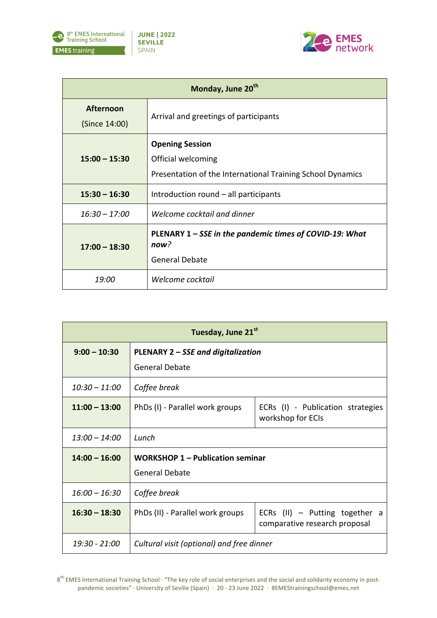



| Monday, June 20 <sup>th</sup>     |                                                                                                            |  |
|-----------------------------------|------------------------------------------------------------------------------------------------------------|--|
| <b>Afternoon</b><br>(Since 14:00) | Arrival and greetings of participants                                                                      |  |
| $15:00 - 15:30$                   | <b>Opening Session</b><br>Official welcoming<br>Presentation of the International Training School Dynamics |  |
| $15:30 - 16:30$                   | Introduction round – all participants                                                                      |  |
| $16:30 - 17:00$                   | Welcome cocktail and dinner                                                                                |  |
| $17:00 - 18:30$                   | PLENARY 1 – SSE in the pandemic times of COVID-19: What<br>now?<br><b>General Debate</b>                   |  |
| 19:00                             | Welcome cocktail                                                                                           |  |

| Tuesday, June 21st |                                                                  |                                                                   |
|--------------------|------------------------------------------------------------------|-------------------------------------------------------------------|
| $9:00 - 10:30$     | PLENARY 2 – SSE and digitalization<br><b>General Debate</b>      |                                                                   |
| $10:30 - 11:00$    | Coffee break                                                     |                                                                   |
| $11:00 - 13:00$    | PhDs (I) - Parallel work groups                                  | ECRs (I) - Publication strategies<br>workshop for ECIs            |
| $13:00 - 14:00$    | Lunch                                                            |                                                                   |
| $14:00 - 16:00$    | <b>WORKSHOP 1 – Publication seminar</b><br><b>General Debate</b> |                                                                   |
| $16:00 - 16:30$    | Coffee break                                                     |                                                                   |
| $16:30 - 18:30$    | PhDs (II) - Parallel work groups                                 | ECRs $(II)$ – Putting together a<br>comparative research proposal |
| 19:30 - 21:00      | Cultural visit (optional) and free dinner                        |                                                                   |

 $8<sup>th</sup>$  EMES International Training School  $\cdot$  "The key role of social enterprises and the social and solidarity economy in postpandemic societies" · University of Seville (Spain) · 20 - 23 June 2022 · 8EMEStrainingschool@emes.net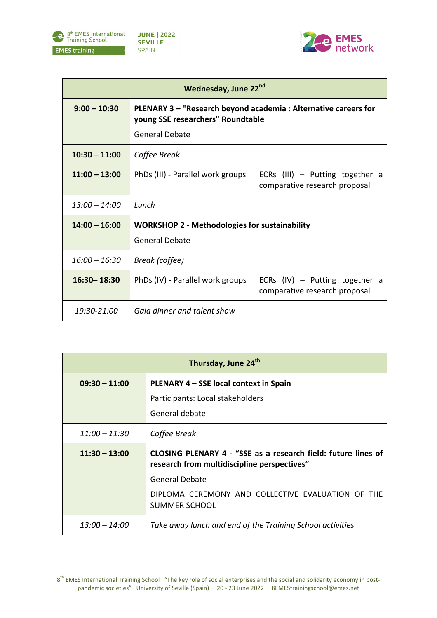



| Wednesday, June 22nd |                                                                                                                       |                                                                    |  |
|----------------------|-----------------------------------------------------------------------------------------------------------------------|--------------------------------------------------------------------|--|
| $9:00 - 10:30$       | PLENARY 3 - "Research beyond academia: Alternative careers for<br>young SSE researchers" Roundtable<br>General Debate |                                                                    |  |
| $10:30 - 11:00$      | Coffee Break                                                                                                          |                                                                    |  |
| $11:00 - 13:00$      | PhDs (III) - Parallel work groups                                                                                     | ECRs $(III)$ – Putting together a<br>comparative research proposal |  |
| $13:00 - 14:00$      | Lunch                                                                                                                 |                                                                    |  |
| $14:00 - 16:00$      | <b>WORKSHOP 2 - Methodologies for sustainability</b><br><b>General Debate</b>                                         |                                                                    |  |
| $16:00 - 16:30$      | Break (coffee)                                                                                                        |                                                                    |  |
| $16:30 - 18:30$      | PhDs (IV) - Parallel work groups                                                                                      | ECRs $(IV)$ – Putting together a<br>comparative research proposal  |  |
| 19:30-21:00          | Gala dinner and talent show                                                                                           |                                                                    |  |

| Thursday, June 24 <sup>th</sup> |                                                                                                              |  |
|---------------------------------|--------------------------------------------------------------------------------------------------------------|--|
| $09:30 - 11:00$                 | PLENARY 4 – SSE local context in Spain                                                                       |  |
|                                 | Participants: Local stakeholders                                                                             |  |
|                                 | General debate                                                                                               |  |
| $11:00 - 11:30$                 | Coffee Break                                                                                                 |  |
| $11:30 - 13:00$                 | CLOSING PLENARY 4 - "SSE as a research field: future lines of<br>research from multidiscipline perspectives" |  |
|                                 | <b>General Debate</b>                                                                                        |  |
|                                 | DIPLOMA CEREMONY AND COLLECTIVE EVALUATION OF THE<br><b>SUMMER SCHOOL</b>                                    |  |
| $13:00 - 14:00$                 | Take away lunch and end of the Training School activities                                                    |  |

 $8<sup>th</sup>$  EMES International Training School  $\cdot$  "The key role of social enterprises and the social and solidarity economy in postpandemic societies" · University of Seville (Spain) · 20 - 23 June 2022 · 8EMEStrainingschool@emes.net